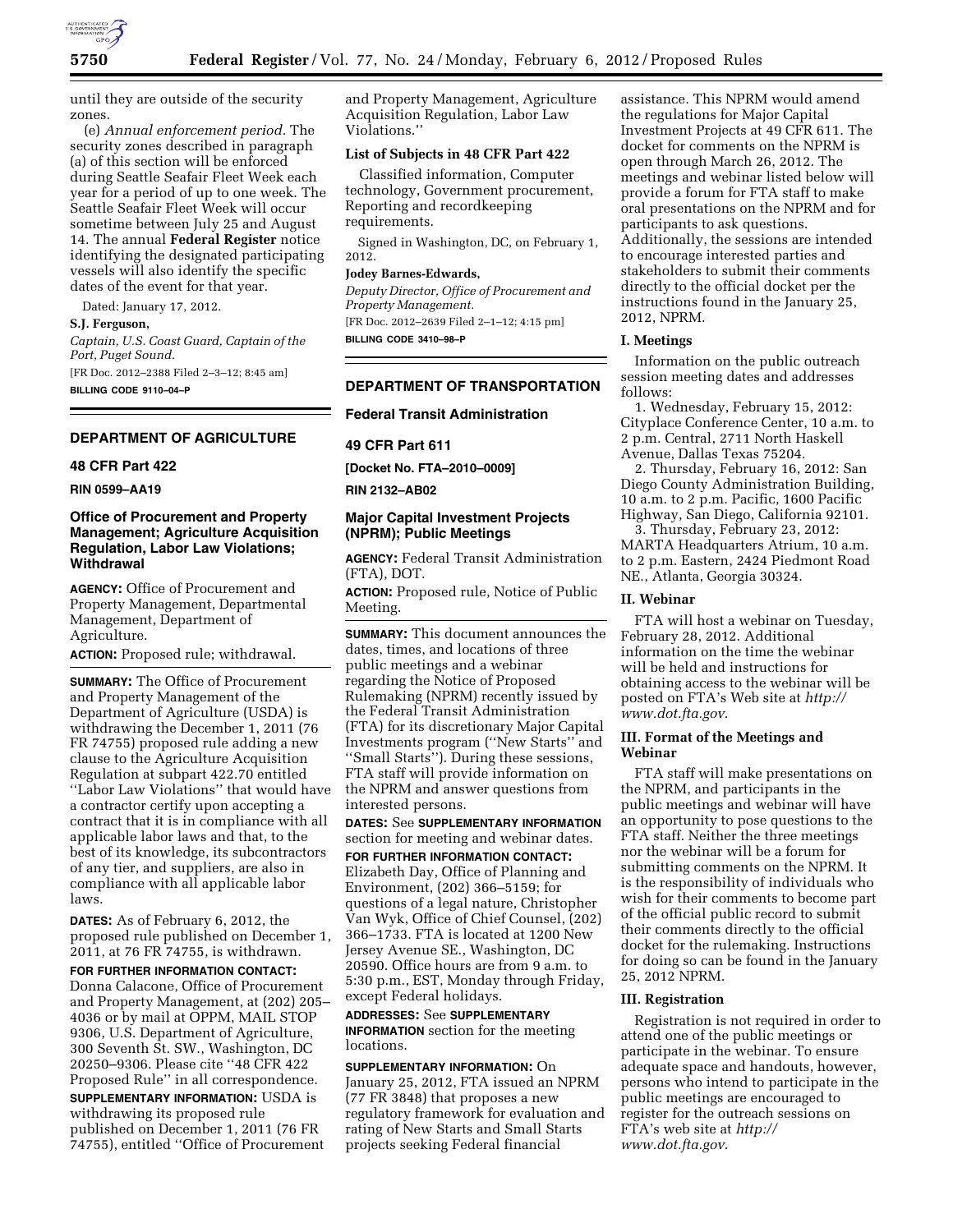

until they are outside of the security zones.

(e) *Annual enforcement period.* The security zones described in paragraph (a) of this section will be enforced during Seattle Seafair Fleet Week each year for a period of up to one week. The Seattle Seafair Fleet Week will occur sometime between July 25 and August 14. The annual **Federal Register** notice identifying the designated participating vessels will also identify the specific dates of the event for that year.

Dated: January 17, 2012. **S.J. Ferguson,**  *Captain, U.S. Coast Guard, Captain of the Port, Puget Sound.* 

[FR Doc. 2012–2388 Filed 2–3–12; 8:45 am] **BILLING CODE 9110–04–P** 

# **DEPARTMENT OF AGRICULTURE**

# **48 CFR Part 422**

**RIN 0599–AA19** 

## **Office of Procurement and Property Management; Agriculture Acquisition Regulation, Labor Law Violations; Withdrawal**

**AGENCY:** Office of Procurement and Property Management, Departmental Management, Department of Agriculture.

**ACTION:** Proposed rule; withdrawal.

**SUMMARY:** The Office of Procurement and Property Management of the Department of Agriculture (USDA) is withdrawing the December 1, 2011 (76 FR 74755) proposed rule adding a new clause to the Agriculture Acquisition Regulation at subpart 422.70 entitled ''Labor Law Violations'' that would have a contractor certify upon accepting a contract that it is in compliance with all applicable labor laws and that, to the best of its knowledge, its subcontractors of any tier, and suppliers, are also in compliance with all applicable labor laws.

**DATES:** As of February 6, 2012, the proposed rule published on December 1, 2011, at 76 FR 74755, is withdrawn.

**FOR FURTHER INFORMATION CONTACT:**  Donna Calacone, Office of Procurement and Property Management, at (202) 205– 4036 or by mail at OPPM, MAIL STOP 9306, U.S. Department of Agriculture, 300 Seventh St. SW., Washington, DC 20250–9306. Please cite ''48 CFR 422 Proposed Rule'' in all correspondence.

**SUPPLEMENTARY INFORMATION:** USDA is withdrawing its proposed rule published on December 1, 2011 (76 FR 74755), entitled ''Office of Procurement and Property Management, Agriculture Acquisition Regulation, Labor Law Violations.''

### **List of Subjects in 48 CFR Part 422**

Classified information, Computer technology, Government procurement, Reporting and recordkeeping requirements.

Signed in Washington, DC, on February 1, 2012.

#### **Jodey Barnes-Edwards,**

*Deputy Director, Office of Procurement and Property Management.*  [FR Doc. 2012–2639 Filed 2–1–12; 4:15 pm]

**BILLING CODE 3410–98–P** 

# **DEPARTMENT OF TRANSPORTATION**

### **Federal Transit Administration**

## **49 CFR Part 611**

**[Docket No. FTA–2010–0009]** 

**RIN 2132–AB02** 

## **Major Capital Investment Projects (NPRM); Public Meetings**

**AGENCY:** Federal Transit Administration (FTA), DOT.

**ACTION:** Proposed rule, Notice of Public Meeting.

**SUMMARY:** This document announces the dates, times, and locations of three public meetings and a webinar regarding the Notice of Proposed Rulemaking (NPRM) recently issued by the Federal Transit Administration (FTA) for its discretionary Major Capital Investments program (''New Starts'' and ''Small Starts''). During these sessions, FTA staff will provide information on the NPRM and answer questions from interested persons.

**DATES:** See **SUPPLEMENTARY INFORMATION** section for meeting and webinar dates.

**FOR FURTHER INFORMATION CONTACT:**  Elizabeth Day, Office of Planning and Environment, (202) 366–5159; for questions of a legal nature, Christopher Van Wyk, Office of Chief Counsel, (202) 366–1733. FTA is located at 1200 New Jersey Avenue SE., Washington, DC 20590. Office hours are from 9 a.m. to 5:30 p.m., EST, Monday through Friday, except Federal holidays.

**ADDRESSES:** See **SUPPLEMENTARY INFORMATION** section for the meeting locations.

**SUPPLEMENTARY INFORMATION:** On January 25, 2012, FTA issued an NPRM (77 FR 3848) that proposes a new regulatory framework for evaluation and rating of New Starts and Small Starts projects seeking Federal financial

assistance. This NPRM would amend the regulations for Major Capital Investment Projects at 49 CFR 611. The docket for comments on the NPRM is open through March 26, 2012. The meetings and webinar listed below will provide a forum for FTA staff to make oral presentations on the NPRM and for participants to ask questions. Additionally, the sessions are intended to encourage interested parties and stakeholders to submit their comments directly to the official docket per the instructions found in the January 25, 2012, NPRM.

#### **I. Meetings**

Information on the public outreach session meeting dates and addresses follows:

1. Wednesday, February 15, 2012: Cityplace Conference Center, 10 a.m. to 2 p.m. Central, 2711 North Haskell Avenue, Dallas Texas 75204.

2. Thursday, February 16, 2012: San Diego County Administration Building, 10 a.m. to 2 p.m. Pacific, 1600 Pacific Highway, San Diego, California 92101.

3. Thursday, February 23, 2012: MARTA Headquarters Atrium, 10 a.m. to 2 p.m. Eastern, 2424 Piedmont Road NE., Atlanta, Georgia 30324.

## **II. Webinar**

FTA will host a webinar on Tuesday, February 28, 2012. Additional information on the time the webinar will be held and instructions for obtaining access to the webinar will be posted on FTA's Web site at *[http://](http://www.dot.fta.gov)  [www.dot.fta.gov](http://www.dot.fta.gov)*.

#### **III. Format of the Meetings and Webinar**

FTA staff will make presentations on the NPRM, and participants in the public meetings and webinar will have an opportunity to pose questions to the FTA staff. Neither the three meetings nor the webinar will be a forum for submitting comments on the NPRM. It is the responsibility of individuals who wish for their comments to become part of the official public record to submit their comments directly to the official docket for the rulemaking. Instructions for doing so can be found in the January 25, 2012 NPRM.

## **III. Registration**

Registration is not required in order to attend one of the public meetings or participate in the webinar. To ensure adequate space and handouts, however, persons who intend to participate in the public meetings are encouraged to register for the outreach sessions on FTA's web site at *[http://](http://www.dot.fta.gov) [www.dot.fta.gov](http://www.dot.fta.gov)*.